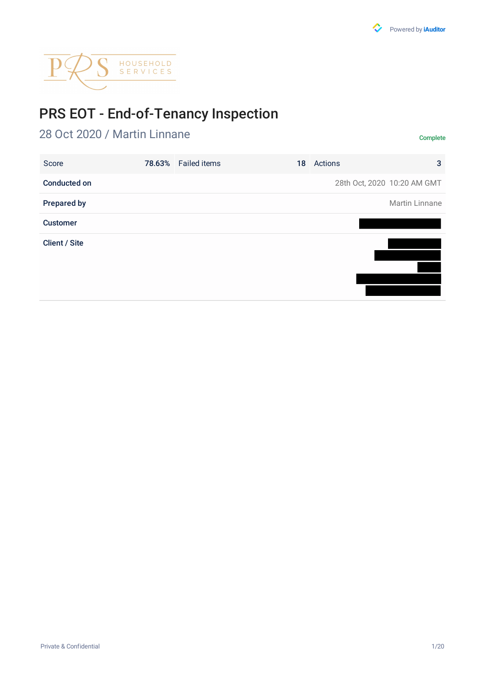

# PRS EOT - End-of-Tenancy Inspection

# 28 Oct 2020 / Martin Linnane Complete

| Score                | 78.63% Failed items | 18 | Actions | 3                           |
|----------------------|---------------------|----|---------|-----------------------------|
| <b>Conducted on</b>  |                     |    |         | 28th Oct, 2020 10:20 AM GMT |
| <b>Prepared by</b>   |                     |    |         | Martin Linnane              |
| <b>Customer</b>      |                     |    |         |                             |
| <b>Client / Site</b> |                     |    |         |                             |
|                      |                     |    |         |                             |
|                      |                     |    |         |                             |
|                      |                     |    |         |                             |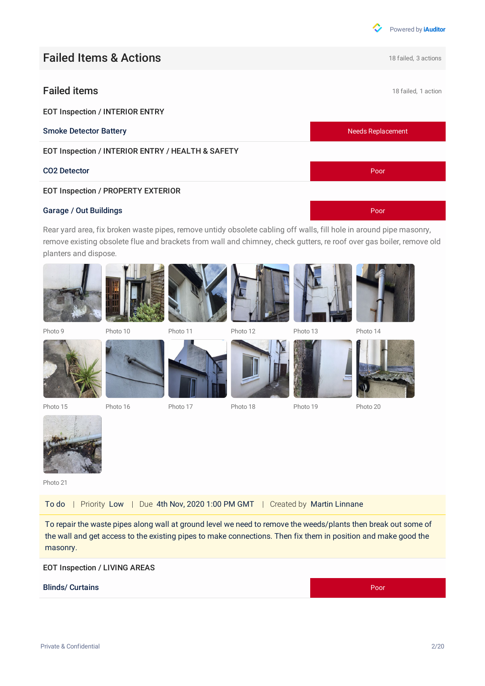

## **Failed Items & Actions Exercise 2 actions** 18 failed, 3 actions

### **Failed items** 18 failed, 1 action

EOT Inspection / INTERIOR ENTRY

EOT Inspection / INTERIOR ENTRY / HEALTH & SAFETY

#### EOT Inspection / PROPERTY EXTERIOR

#### Garage / Out Buildings **Poor**

Rear yard area, fix broken waste pipes, remove untidy obsolete cabling off walls, fill hole in around pipe masonry, remove existing obsolete flue and brackets from wall and chimney, check gutters, re roof over gas boiler, remove old planters and dispose.



Photo 15 Photo 16 Photo 17 Photo 18 Photo 19 Photo 20



Photo 21

To do | Priority Low | Due 4th Nov, 2020 1:00 PM GMT | Created by Martin Linnane

To repair the waste pipes along wall at ground level we need to remove the weeds/plants then break out some of the wall and get access to the existing pipes to make connections. Then fix them in position and make good the masonry.

#### EOT Inspection / LIVING AREAS

#### Blinds/ Curtains Poor









Photo 9 Photo 10 Photo 11 Photo 12 Photo 13 Photo 14





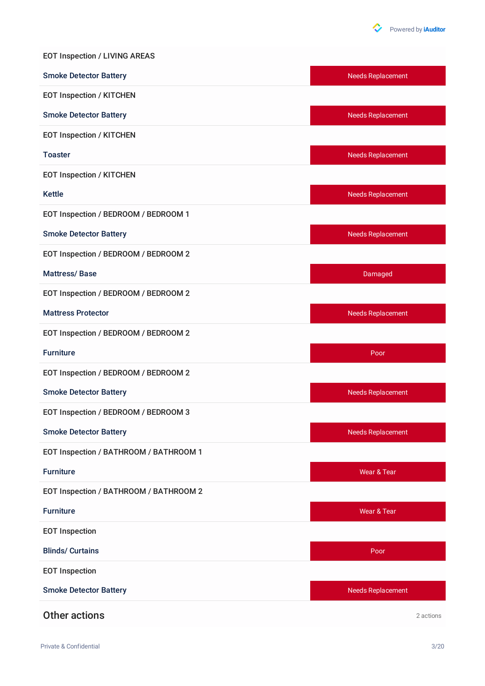

| <b>EOT Inspection / LIVING AREAS</b>   |                          |
|----------------------------------------|--------------------------|
| <b>Smoke Detector Battery</b>          | <b>Needs Replacement</b> |
| <b>EOT Inspection / KITCHEN</b>        |                          |
| <b>Smoke Detector Battery</b>          | <b>Needs Replacement</b> |
| <b>EOT Inspection / KITCHEN</b>        |                          |
| <b>Toaster</b>                         | <b>Needs Replacement</b> |
| <b>EOT Inspection / KITCHEN</b>        |                          |
| <b>Kettle</b>                          | <b>Needs Replacement</b> |
| EOT Inspection / BEDROOM / BEDROOM 1   |                          |
| <b>Smoke Detector Battery</b>          | <b>Needs Replacement</b> |
| EOT Inspection / BEDROOM / BEDROOM 2   |                          |
| <b>Mattress/Base</b>                   | Damaged                  |
| EOT Inspection / BEDROOM / BEDROOM 2   |                          |
| <b>Mattress Protector</b>              | <b>Needs Replacement</b> |
| EOT Inspection / BEDROOM / BEDROOM 2   |                          |
| <b>Furniture</b>                       | Poor                     |
| EOT Inspection / BEDROOM / BEDROOM 2   |                          |
| <b>Smoke Detector Battery</b>          | <b>Needs Replacement</b> |
| EOT Inspection / BEDROOM / BEDROOM 3   |                          |
| <b>Smoke Detector Battery</b>          | <b>Needs Replacement</b> |
| EOT Inspection / BATHROOM / BATHROOM 1 |                          |
| <b>Furniture</b>                       | Wear & Tear              |
| EOT Inspection / BATHROOM / BATHROOM 2 |                          |
| <b>Furniture</b>                       | Wear & Tear              |
| <b>EOT Inspection</b>                  |                          |
| <b>Blinds/ Curtains</b>                | Poor                     |
| <b>EOT Inspection</b>                  |                          |
| <b>Smoke Detector Battery</b>          | <b>Needs Replacement</b> |
| <b>Other actions</b>                   | 2 actions                |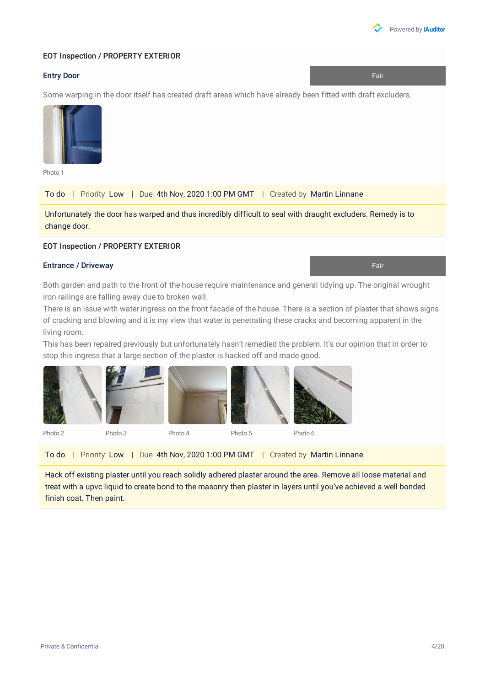

#### EOT Inspection / PROPERTY EXTERIOR

#### Entry Door Fair Processes and the Contract of the Contract of the Contract of Training and Training and Training and Training and Training and Training and Training and Training and Training and Training and Training and T

Some warping in the door itself has created draft areas which have already been fitted with draft excluders.



Photo 1

To do | Priority Low | Due 4th Nov, 2020 1:00 PM GMT | Created by Martin Linnane

Unfortunately the door has warped and thus incredibly difficult to seal with draught excluders. Remedy is to change door.

#### EOT Inspection / PROPERTY EXTERIOR

#### Entrance / Driveway Fair

Both garden and path to the front of the house require maintenance and general tidying up. The original wrought iron railings are falling away due to broken wall.

There is an issue with water ingress on the front facade of the house. There is a section of plaster that shows signs of cracking and blowing and it is my view that water is penetrating these cracks and becoming apparent in the living room.

This has been repaired previously but unfortunately hasn't remedied the problem. It's our opinion that in order to stop this ingress that a large section of the plaster is hacked off and made good.



|  | To do   Priority Low   Due 4th Nov, 2020 1:00 PM GMT   Created by Martin Linnane |  |
|--|----------------------------------------------------------------------------------|--|
|--|----------------------------------------------------------------------------------|--|

Hack off existing plaster until you reach solidly adhered plaster around the area. Remove all loose material and treat with a upvc liquid to create bond to the masonry then plaster in layers until you've achieved a well bonded finish coat. Then paint.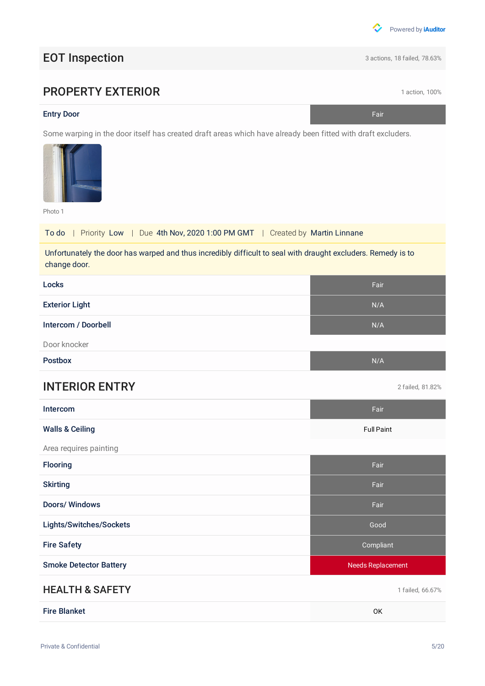

# EOT Inspection 3 actions, 18 failed, 78.63%

# **PROPERTY EXTERIOR 1 action, 100%**

#### **Entry Door** Fair

Some warping in the door itself has created draft areas which have already been fitted with draft excluders.



Photo 1

To do | Priority Low | Due 4th Nov, 2020 1:00 PM GMT | Created by Martin Linnane

Unfortunately the door has warped and thus incredibly difficult to seal with draught excluders. Remedy is to change door.

| Locks                         | Fair                     |
|-------------------------------|--------------------------|
| <b>Exterior Light</b>         | N/A                      |
| Intercom / Doorbell           | N/A                      |
| Door knocker                  |                          |
| <b>Postbox</b>                | N/A                      |
| <b>INTERIOR ENTRY</b>         | 2 failed, 81.82%         |
| Intercom                      | Fair                     |
| <b>Walls &amp; Ceiling</b>    | <b>Full Paint</b>        |
| Area requires painting        |                          |
| Flooring                      | Fair                     |
| <b>Skirting</b>               | Fair                     |
| <b>Doors/Windows</b>          | Fair                     |
| Lights/Switches/Sockets       | Good                     |
| <b>Fire Safety</b>            | Compliant                |
| <b>Smoke Detector Battery</b> | <b>Needs Replacement</b> |
| <b>HEALTH &amp; SAFETY</b>    | 1 failed, 66.67%         |
| <b>Fire Blanket</b>           | OK                       |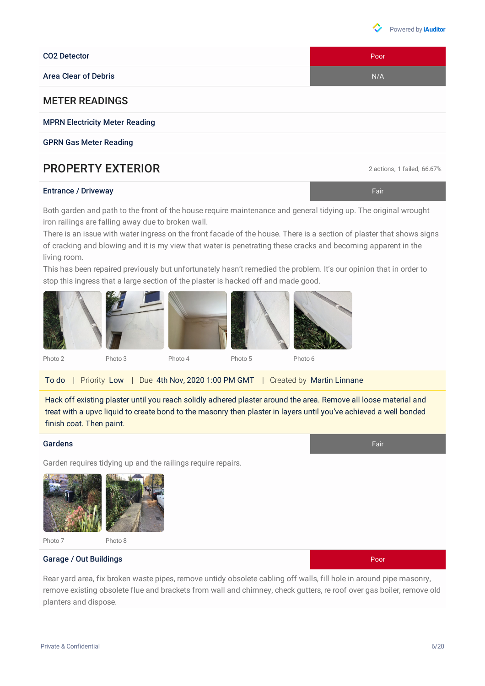#### CO2 Detector **Poor**

Area Clear of Debris New York 1988, the United States of Debris New York 1989, the United States Inc. New York 1989, the United States Inc. New York 1989, the United States Inc. New York 1989, the United States Inc. New Yo

#### METER READINGS

MPRN Electricity Meter Reading

GPRN Gas Meter Reading

### **PROPERTY EXTERIOR** 2 actions, 1 failed, 66.67%

#### **Entrance / Driveway Fair Advisor Community Community Community Community Community Community Community Community**

Both garden and path to the front of the house require maintenance and general tidying up. The original wrought iron railings are falling away due to broken wall.

There is an issue with water ingress on the front facade of the house. There is a section of plaster that shows signs of cracking and blowing and it is my view that water is penetrating these cracks and becoming apparent in the living room.

This has been repaired previously but unfortunately hasn't remedied the problem. It's our opinion that in order to stop this ingress that a large section of the plaster is hacked off and made good.

Hack off existing plaster until you reach solidly adhered plaster around the area. Remove all loose material and treat with a upvc liquid to create bond to the masonry then plaster in layers until you've achieved a well bonded finish coat. Then paint.

#### Gardens Fair

Garden requires tidying up and the railings require repairs.



Rear yard area, fix broken waste pipes, remove untidy obsolete cabling off walls, fill hole in around pipe masonry, remove existing obsolete flue and brackets from wall and chimney, check gutters, re roof over gas boiler, remove old planters and dispose.



Photo 7 Photo 8





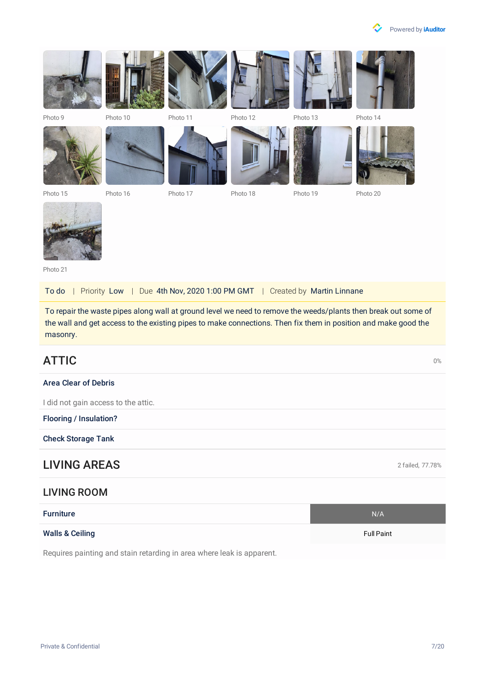











Photo 15 Photo 16 Photo 17 Photo 18 Photo 19 Photo 20



Photo 21

To do | Priority Low | Due 4th Nov, 2020 1:00 PM GMT | Created by Martin Linnane

To repair the waste pipes along wall at ground level we need to remove the weeds/plants then break out some of the wall and get access to the existing pipes to make connections. Then fix them in position and make good the masonry.

# $\blacktriangle$ TTIC  $^{\text{0%}}$

#### Area Clear of Debris

I did not gain access to the attic.

Flooring / Insulation?

Check Storage Tank

### **LIVING AREAS** 2 failed, 77.78%

#### LIVING ROOM

| <b>Furniture</b>           | N/A               |
|----------------------------|-------------------|
| <b>Walls &amp; Ceiling</b> | <b>Full Paint</b> |

Requires painting and stain retarding in area where leak is apparent.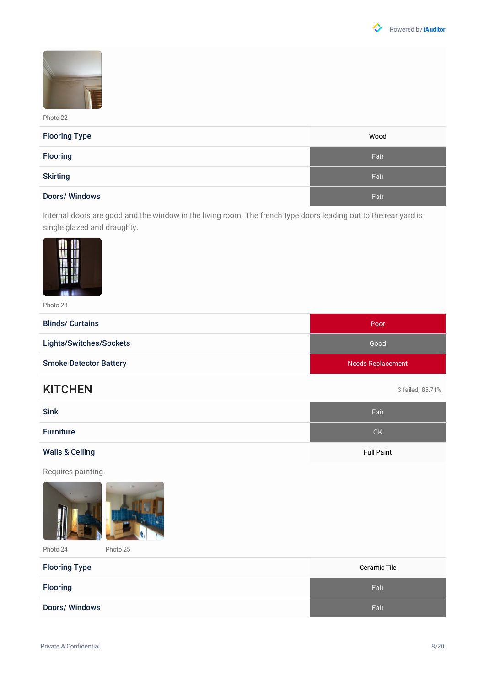



| <b>Flooring Type</b> | Wood |
|----------------------|------|
| <b>Flooring</b>      | Fair |
| <b>Skirting</b>      | Fair |
| <b>Doors/Windows</b> | Fair |

Internal doors are good and the window in the living room. The french type doors leading out to the rear yard is single glazed and draughty.



Photo 23

| <b>Blinds/ Curtains</b>       | Poor                     |
|-------------------------------|--------------------------|
| Lights/Switches/Sockets       | Good                     |
| <b>Smoke Detector Battery</b> | <b>Needs Replacement</b> |

### KITCHEN 3 failed, 85.71%

| <b>Sink</b>                | Fair              |
|----------------------------|-------------------|
| <b>Furniture</b>           | OK                |
| <b>Walls &amp; Ceiling</b> | <b>Full Paint</b> |

Requires painting.





Photo 24 Photo 25

| <b>Flooring Type</b> | Ceramic Tile |
|----------------------|--------------|
| <b>Flooring</b>      | Fair         |
| Doors/Windows        | Fair         |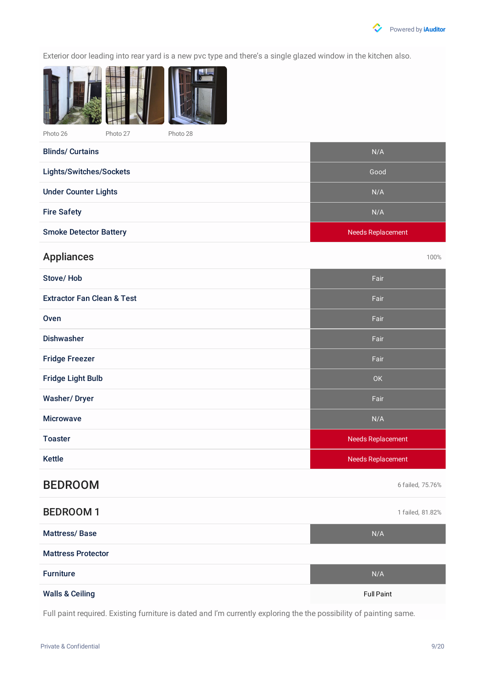

Exterior door leading into rear yard is a new pvc type and there's a single glazed window in the kitchen also.



**Blinds/ Curtains** 

| <b>DILIUS</b> VUI MIIS        | $\mathbf{v}$             |
|-------------------------------|--------------------------|
| Lights/Switches/Sockets       | Good                     |
| <b>Under Counter Lights</b>   | N/A                      |
| <b>Fire Safety</b>            | N/A                      |
| <b>Smoke Detector Battery</b> | <b>Needs Replacement</b> |

## Appliances and the contract of the contract of the contract of the contract of the contract of the contract of the contract of the contract of the contract of the contract of the contract of the contract of the contract of

| Stove/Hob                             | Fair                     |
|---------------------------------------|--------------------------|
| <b>Extractor Fan Clean &amp; Test</b> | Fair                     |
| Oven                                  | Fair                     |
| <b>Dishwasher</b>                     | Fair                     |
| <b>Fridge Freezer</b>                 | Fair                     |
| <b>Fridge Light Bulb</b>              | OK                       |
| <b>Washer/Dryer</b>                   | Fair                     |
| <b>Microwave</b>                      | N/A                      |
|                                       |                          |
| <b>Toaster</b>                        | <b>Needs Replacement</b> |
| <b>Kettle</b>                         | <b>Needs Replacement</b> |
| <b>BEDROOM</b>                        | 6 failed, 75.76%         |
| <b>BEDROOM1</b>                       | 1 failed, 81.82%         |
| <b>Mattress/Base</b>                  | N/A                      |
| <b>Mattress Protector</b>             |                          |

Walls & Ceiling Full Paint

Full paint required. Existing furniture is dated and I'm currently exploring the the possibility of painting same.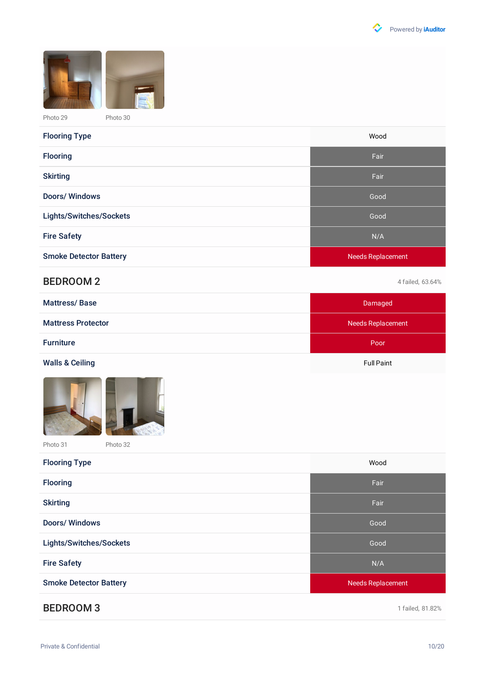



| <b>Flooring Type</b>          | Wood                     |
|-------------------------------|--------------------------|
| <b>Flooring</b>               | Fair                     |
| <b>Skirting</b>               | Fair                     |
| <b>Doors/Windows</b>          | Good                     |
| Lights/Switches/Sockets       | Good                     |
| <b>Fire Safety</b>            | N/A                      |
| <b>Smoke Detector Battery</b> | <b>Needs Replacement</b> |

### BEDROOM 2 4 failed, 63.64%

| <b>Mattress/Base</b>       | Damaged           |
|----------------------------|-------------------|
| <b>Mattress Protector</b>  | Needs Replacement |
| <b>Furniture</b>           | Poor              |
| <b>Walls &amp; Ceiling</b> | <b>Full Paint</b> |
| <b>Box</b>                 |                   |





Photo 31 Photo 32

| <b>Flooring Type</b>          | Wood                     |
|-------------------------------|--------------------------|
| <b>Flooring</b>               | Fair                     |
| <b>Skirting</b>               | Fair                     |
| <b>Doors/Windows</b>          | Good                     |
| Lights/Switches/Sockets       | Good                     |
| <b>Fire Safety</b>            | N/A                      |
| <b>Smoke Detector Battery</b> | <b>Needs Replacement</b> |
|                               |                          |

### BEDROOM 3 and 1 failed, 81.82%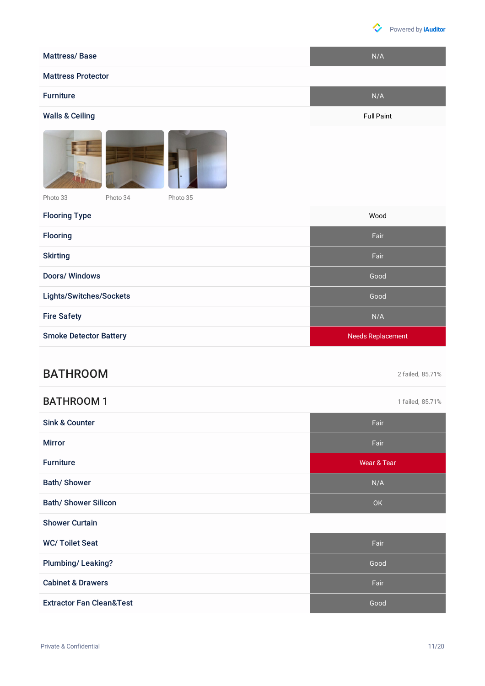

[Powered](https://safetyculture.com/iauditor/?utm_source=iauditor&utm_medium=pdf_report&utm_campaign=free_team_report_branding) by **iAuditor**

| <b>Mattress/Base</b>             | N/A                      |
|----------------------------------|--------------------------|
| <b>Mattress Protector</b>        |                          |
| <b>Furniture</b>                 | N/A                      |
| <b>Walls &amp; Ceiling</b>       | <b>Full Paint</b>        |
|                                  |                          |
| Photo 33<br>Photo 34<br>Photo 35 |                          |
| <b>Flooring Type</b>             | Wood                     |
| <b>Flooring</b>                  | Fair                     |
| <b>Skirting</b>                  | Fair                     |
| <b>Doors/Windows</b>             | Good                     |
| Lights/Switches/Sockets          | Good                     |
| <b>Fire Safety</b>               | N/A                      |
| <b>Smoke Detector Battery</b>    | <b>Needs Replacement</b> |
|                                  |                          |

# BATHROOM 2 failed, 85.71%

### BATHROOM 1 and 1 failed, 85.71%

| <b>Sink &amp; Counter</b>    | Fair                   |
|------------------------------|------------------------|
| <b>Mirror</b>                | Fair                   |
| <b>Furniture</b>             | <b>Wear &amp; Tear</b> |
| <b>Bath/Shower</b>           | N/A                    |
| <b>Bath/ Shower Silicon</b>  | <b>OK</b>              |
| <b>Shower Curtain</b>        |                        |
| <b>WC/Toilet Seat</b>        | Fair                   |
| Plumbing/Leaking?            | Good                   |
| <b>Cabinet &amp; Drawers</b> | Fair                   |
|                              |                        |

Extractor Fan Clean&Test Good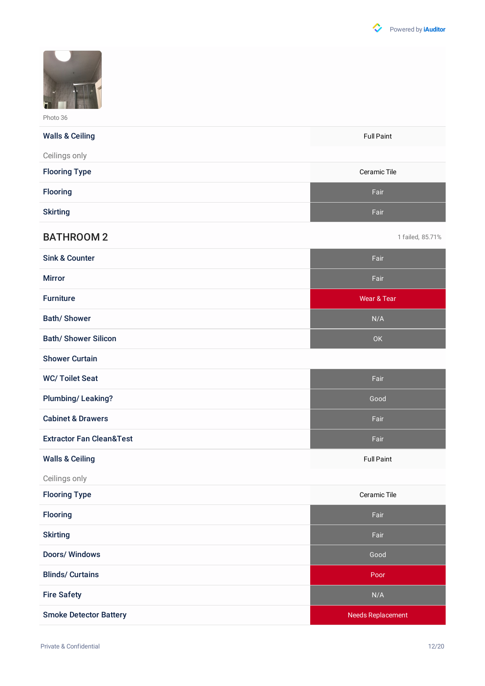

| <b>Walls &amp; Ceiling</b> | <b>Full Paint</b> |
|----------------------------|-------------------|
| Ceilings only              |                   |
| <b>Flooring Type</b>       | Ceramic Tile      |
| <b>Flooring</b>            | Fair              |
| <b>Skirting</b>            | Fair              |

### BATHROOM 2 1 failed, 85.71%

| <b>Sink &amp; Counter</b>   | Fair        |
|-----------------------------|-------------|
| <b>Mirror</b>               | Fair        |
| <b>Furniture</b>            | Wear & Tear |
| <b>Bath/Shower</b>          | N/A         |
| <b>Bath/ Shower Silicon</b> | <b>OK</b>   |

Shower Curtain

| <b>WC/Toilet Seat</b>               | Fair              |
|-------------------------------------|-------------------|
| <b>Plumbing/Leaking?</b>            | Good              |
| <b>Cabinet &amp; Drawers</b>        | Fair              |
| <b>Extractor Fan Clean&amp;Test</b> | Fair              |
| <b>Walls &amp; Ceiling</b>          | <b>Full Paint</b> |

Ceilings only

| <b>Flooring Type</b>          | Ceramic Tile             |
|-------------------------------|--------------------------|
| <b>Flooring</b>               | Fair                     |
| <b>Skirting</b>               | Fair                     |
| <b>Doors/Windows</b>          | Good                     |
| <b>Blinds/ Curtains</b>       | Poor                     |
| <b>Fire Safety</b>            | N/A                      |
| <b>Smoke Detector Battery</b> | <b>Needs Replacement</b> |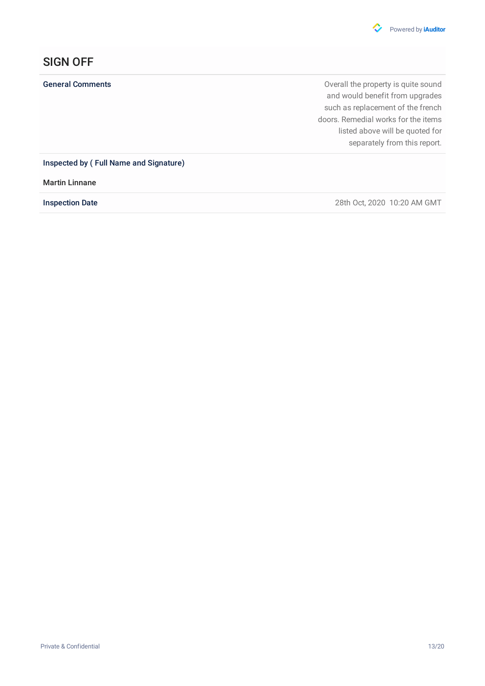

# SIGN OFF

General Comments **General Comments Comments Comments Comments Comments Comments Comments Comments Comments Comments Comments Comments Comments Comments Comments Comments Comments Comments** and would benefit from upgrades such as replacement of the french doors. Remedial works for the items listed above will be quoted for separately from this report.

Inspected by ( Full Name and Signature)

Martin Linnane

Inspection Date 28th Oct, 2020 10:20 AM GMT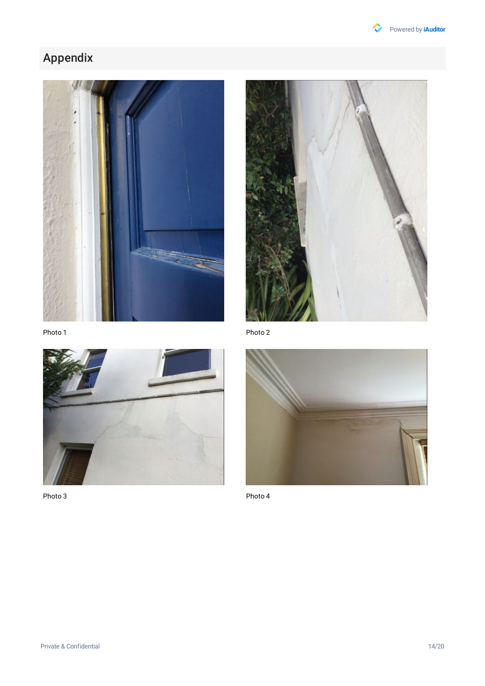

# Appendix





Photo 1



Photo 3

Photo 2



Photo 4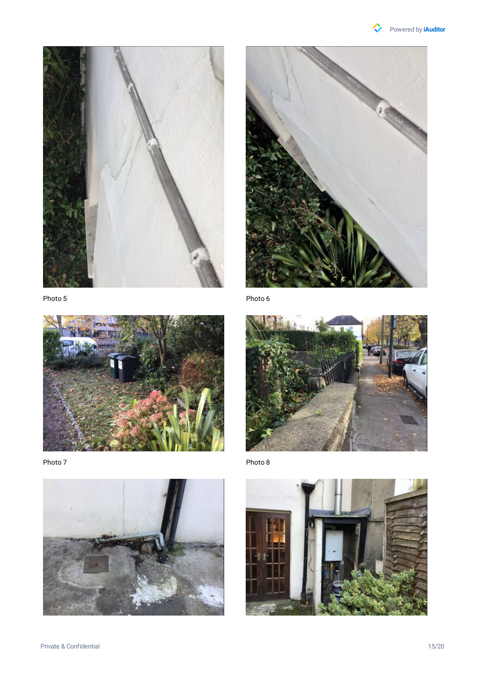





Photo 7





Photo 6



Photo 8

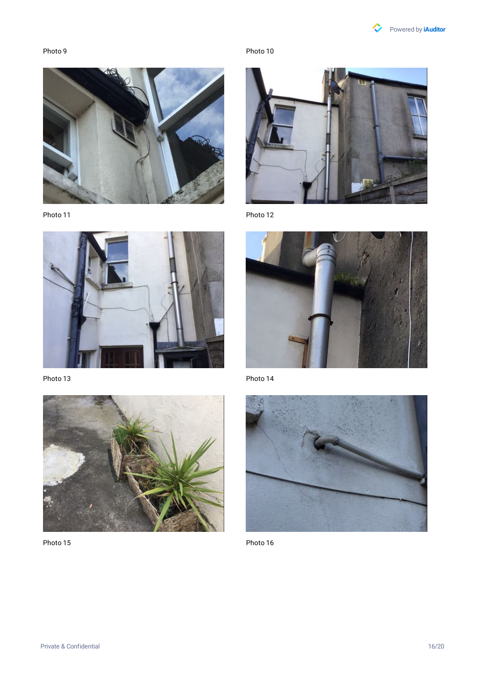



Photo 11



Photo 13



Photo 15

Photo 10



Photo 12



Photo 14



Photo 16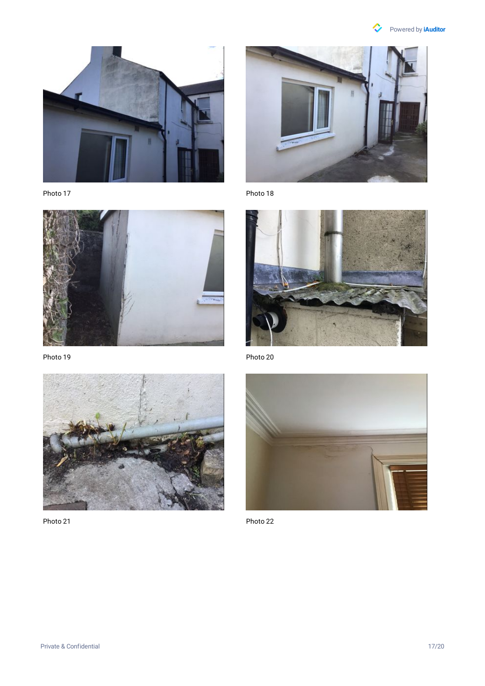



Photo 17



Photo 19



Photo 21



Photo 18



Photo 20



Photo 22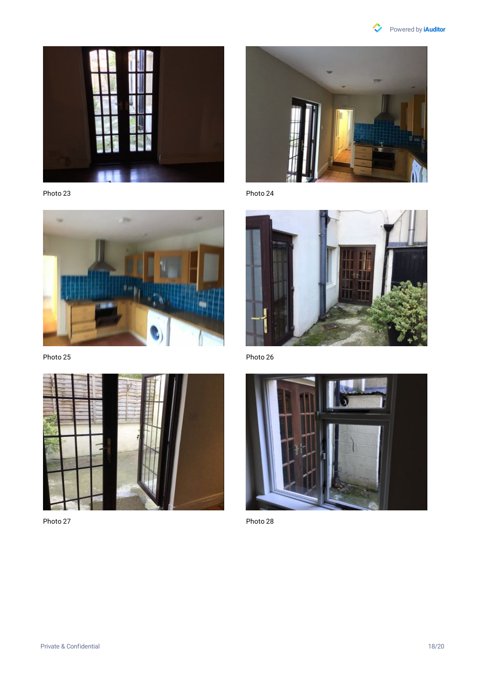



Photo 23



Photo 25



Photo 27



Photo 24



Photo 26



Photo 28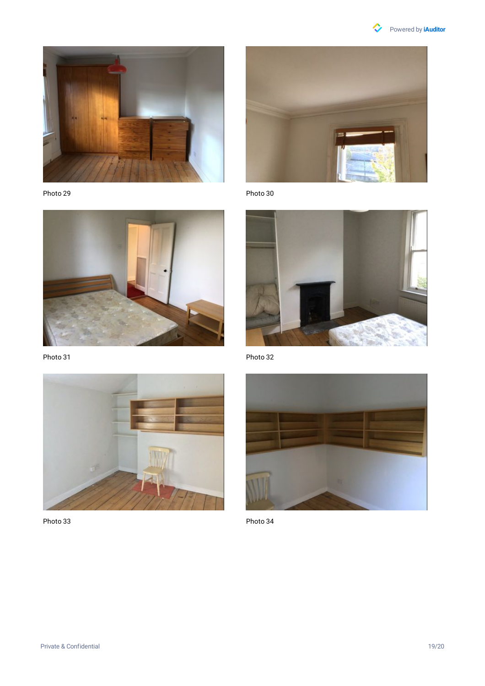

### [Powered](https://safetyculture.com/iauditor/?utm_source=iauditor&utm_medium=pdf_report&utm_campaign=free_team_report_branding) by **iAuditor**



Photo 29



Photo 31



Photo 33



Photo 30



Photo 32



Photo 34